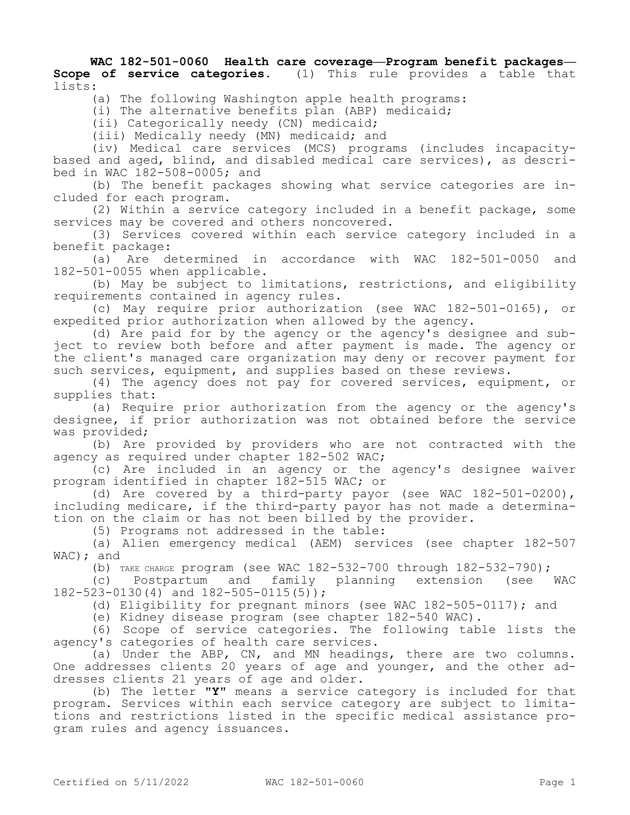**WAC 182-501-0060 Health care coverage—Program benefit packages— Scope of service categories.** (1) This rule provides a table that lists:

(a) The following Washington apple health programs:

(i) The alternative benefits plan (ABP) medicaid;

(ii) Categorically needy (CN) medicaid;

(iii) Medically needy (MN) medicaid; and

(iv) Medical care services (MCS) programs (includes incapacitybased and aged, blind, and disabled medical care services), as described in WAC 182-508-0005; and

(b) The benefit packages showing what service categories are included for each program.

(2) Within a service category included in a benefit package, some services may be covered and others noncovered.

(3) Services covered within each service category included in a benefit package:

(a) Are determined in accordance with WAC 182-501-0050 and 182-501-0055 when applicable.

(b) May be subject to limitations, restrictions, and eligibility requirements contained in agency rules.

(c) May require prior authorization (see WAC 182-501-0165), or expedited prior authorization when allowed by the agency.

(d) Are paid for by the agency or the agency's designee and subject to review both before and after payment is made. The agency or the client's managed care organization may deny or recover payment for such services, equipment, and supplies based on these reviews.

(4) The agency does not pay for covered services, equipment, or supplies that:

(a) Require prior authorization from the agency or the agency's designee, if prior authorization was not obtained before the service was provided;

(b) Are provided by providers who are not contracted with the agency as required under chapter 182-502 WAC;

(c) Are included in an agency or the agency's designee waiver program identified in chapter 182-515 WAC; or

(d) Are covered by a third-party payor (see WAC 182-501-0200), including medicare, if the third-party payor has not made a determination on the claim or has not been billed by the provider.

(5) Programs not addressed in the table:

(a) Alien emergency medical (AEM) services (see chapter 182-507 WAC); and

(b) TAKE CHARGE program (see WAC 182-532-700 through 182-532-790);

(c) Postpartum and family planning extension (see WAC 182-523-0130(4) and 182-505-0115(5));

(d) Eligibility for pregnant minors (see WAC 182-505-0117); and

(e) Kidney disease program (see chapter 182-540 WAC).

(6) Scope of service categories. The following table lists the agency's categories of health care services.

(a) Under the ABP, CN, and MN headings, there are two columns. One addresses clients 20 years of age and younger, and the other addresses clients 21 years of age and older.

(b) The letter **"Y"** means a service category is included for that program. Services within each service category are subject to limitations and restrictions listed in the specific medical assistance program rules and agency issuances.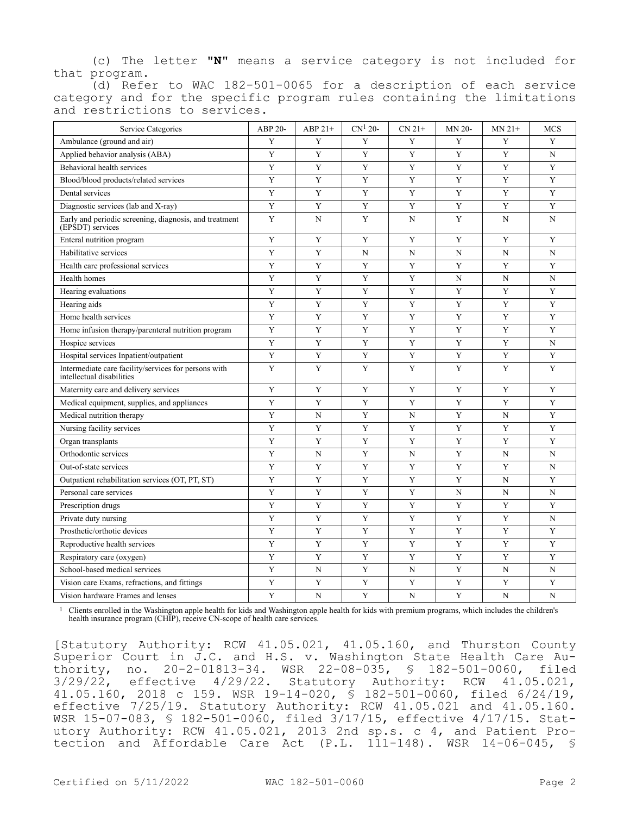(c) The letter **"N"** means a service category is not included for that program.

(d) Refer to WAC 182-501-0065 for a description of each service category and for the specific program rules containing the limitations and restrictions to services.

| Service Categories                                                                | ABP 20-     | ABP 21+     | $CN1 20-$   | $CN 21+$    | MN 20-      | $MN$ 21+    | <b>MCS</b>  |
|-----------------------------------------------------------------------------------|-------------|-------------|-------------|-------------|-------------|-------------|-------------|
| Ambulance (ground and air)                                                        | Y           | Y           | Y           | Y           | Y           | Y           | Y           |
| Applied behavior analysis (ABA)                                                   | Y           | Y           | Y           | Y           | Y           | Y           | N           |
| Behavioral health services                                                        | Y           | Y           | Y           | Y           | Y           | Y           | Y           |
| Blood/blood products/related services                                             | Y           | Y           | Y           | Y           | Y           | Y           | Y           |
| Dental services                                                                   | $\mathbf Y$ | $\mathbf Y$ | Y           | $\mathbf Y$ | $\mathbf Y$ | Y           | $\mathbf Y$ |
| Diagnostic services (lab and X-ray)                                               | $\mathbf Y$ | $\mathbf Y$ | Y           | $\mathbf Y$ | $\mathbf Y$ | Y           | $\mathbf Y$ |
| Early and periodic screening, diagnosis, and treatment<br>(EPSDT) services        | $\mathbf Y$ | $\mathbf N$ | Y           | N           | Y           | N           | $\mathbf N$ |
| Enteral nutrition program                                                         | Y           | $\mathbf Y$ | $\mathbf Y$ | Y           | $\mathbf Y$ | $\mathbf Y$ | Y           |
| Habilitative services                                                             | Y           | $\mathbf Y$ | $\mathbf N$ | $\mathbf N$ | N           | N           | N           |
| Health care professional services                                                 | Y           | Y           | Y           | Y           | Y           | Y           | Y           |
| Health homes                                                                      | Y           | $\mathbf Y$ | Y           | $\mathbf Y$ | N           | N           | N           |
| Hearing evaluations                                                               | Y           | $\mathbf Y$ | Y           | Y           | Y           | Y           | Y           |
| Hearing aids                                                                      | Y           | $\mathbf Y$ | Y           | Y           | Y           | Y           | Y           |
| Home health services                                                              | Y           | $\mathbf Y$ | Y           | Y           | Y           | Y           | $\mathbf Y$ |
| Home infusion therapy/parenteral nutrition program                                | Y           | $\mathbf Y$ | Y           | Y           | $\mathbf Y$ | Y           | Y           |
| Hospice services                                                                  | Y           | $\mathbf Y$ | Y           | Y           | Y           | Y           | $\mathbf N$ |
| Hospital services Inpatient/outpatient                                            | $\mathbf Y$ | $\mathbf Y$ | Y           | $\mathbf Y$ | $\mathbf Y$ | $\mathbf Y$ | $\mathbf Y$ |
| Intermediate care facility/services for persons with<br>intellectual disabilities | Y           | Y           | Y           | Y           | Y           | Y           | Y           |
| Maternity care and delivery services                                              | Y           | Y           | Y           | Y           | Y           | Y           | Y           |
| Medical equipment, supplies, and appliances                                       | Y           | Y           | Y           | Y           | Y           | Y           | Y           |
| Medical nutrition therapy                                                         | Y           | N           | Y           | N           | Y           | N           | Y           |
| Nursing facility services                                                         | Y           | Y           | Y           | Y           | Y           | Y           | Y           |
| Organ transplants                                                                 | Y           | Y           | Y           | Y           | Y           | Y           | Y           |
| Orthodontic services                                                              | Y           | N           | Y           | N           | Y           | N           | N           |
| Out-of-state services                                                             | Y           | $\mathbf Y$ | Y           | Y           | Y           | Y           | N           |
| Outpatient rehabilitation services (OT, PT, ST)                                   | Y           | Y           | Y           | Y           | Y           | N           | Y           |
| Personal care services                                                            | Y           | $\mathbf Y$ | Y           | Y           | N           | $\mathbf N$ | N           |
| Prescription drugs                                                                | Y           | Y           | Y           | Y           | Y           | Y           | Y           |
| Private duty nursing                                                              | Y           | Y           | Y           | $\mathbf Y$ | Y           | Y           | N           |
| Prosthetic/orthotic devices                                                       | Y           | Y           | Y           | Y           | Y           | Y           | Y           |
| Reproductive health services                                                      | Y           | $\mathbf Y$ | Y           | $\mathbf Y$ | Y           | Y           | $\mathbf Y$ |
| Respiratory care (oxygen)                                                         | Y           | Y           | Y           | Y           | Y           | $\mathbf Y$ | Y           |
| School-based medical services                                                     | Y           | N           | Y           | N           | Y           | N           | $\mathbf N$ |
| Vision care Exams, refractions, and fittings                                      | Y           | Y           | Y           | Y           | Y           | Y           | Y           |
| Vision hardware Frames and lenses                                                 | Y           | N           | $\mathbf Y$ | N           | Y           | N           | $\mathbf N$ |

1 Clients enrolled in the Washington apple health for kids and Washington apple health for kids with premium programs, which includes the children's health insurance program (CHIP), receive CN-scope of health care services.

[Statutory Authority: RCW 41.05.021, 41.05.160, and Thurston County Superior Court in J.C. and H.S. v. Washington State Health Care Authority, no. 20-2-01813-34. WSR 22-08-035, § 182-501-0060, filed 3/29/22, effective 4/29/22. Statutory Authority: RCW 41.05.021, 41.05.160, 2018 c 159. WSR 19-14-020, § 182-501-0060, filed 6/24/19, effective 7/25/19. Statutory Authority: RCW 41.05.021 and 41.05.160. WSR 15-07-083, § 182-501-0060, filed 3/17/15, effective 4/17/15. Statutory Authority: RCW 41.05.021, 2013 2nd sp.s. c 4, and Patient Protection and Affordable Care Act (P.L. 111-148). WSR 14-06-045, §